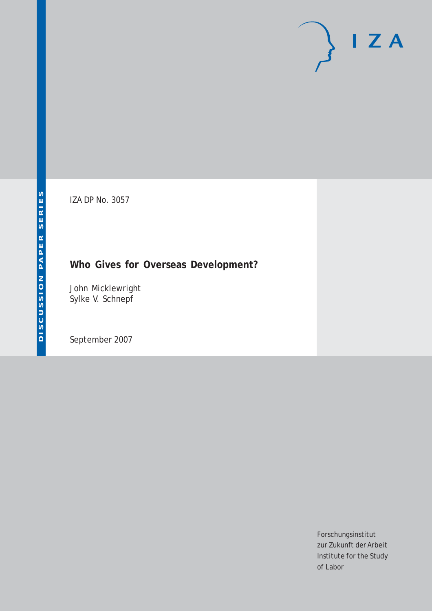# $I Z A$

IZA DP No. 3057

# **Who Gives for Overseas Development?**

John Micklewright Sylke V. Schnepf

September 2007

Forschungsinstitut zur Zukunft der Arbeit Institute for the Study of Labor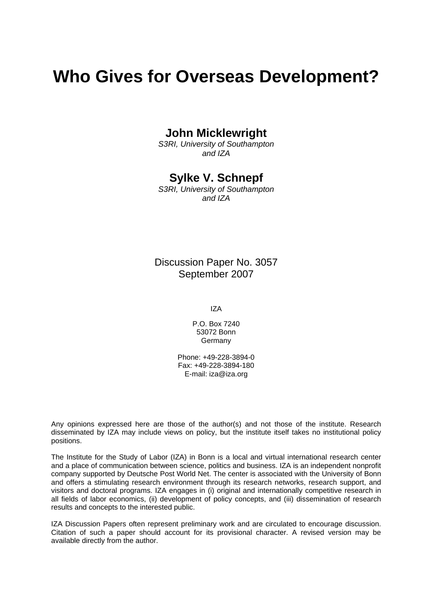# **Who Gives for Overseas Development?**

## **John Micklewright**

*S3RI, University of Southampton and IZA* 

## **Sylke V. Schnepf**

*S3RI, University of Southampton and IZA* 

## Discussion Paper No. 3057 September 2007

IZA

P.O. Box 7240 53072 Bonn **Germany** 

Phone: +49-228-3894-0 Fax: +49-228-3894-180 E-mail: [iza@iza.org](mailto:iza@iza.org)

Any opinions expressed here are those of the author(s) and not those of the institute. Research disseminated by IZA may include views on policy, but the institute itself takes no institutional policy positions.

The Institute for the Study of Labor (IZA) in Bonn is a local and virtual international research center and a place of communication between science, politics and business. IZA is an independent nonprofit company supported by Deutsche Post World Net. The center is associated with the University of Bonn and offers a stimulating research environment through its research networks, research support, and visitors and doctoral programs. IZA engages in (i) original and internationally competitive research in all fields of labor economics, (ii) development of policy concepts, and (iii) dissemination of research results and concepts to the interested public.

IZA Discussion Papers often represent preliminary work and are circulated to encourage discussion. Citation of such a paper should account for its provisional character. A revised version may be available directly from the author.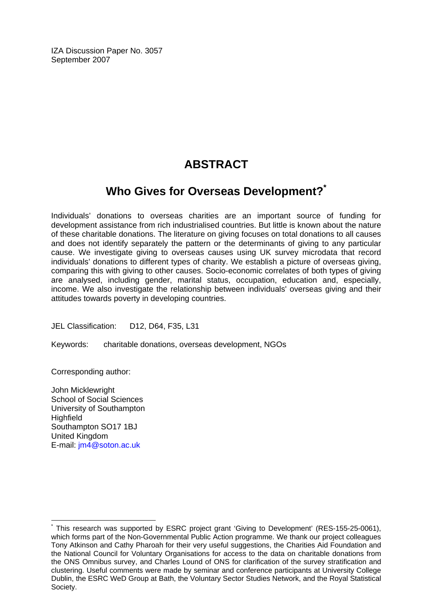IZA Discussion Paper No. 3057 September 2007

# **ABSTRACT**

# **Who Gives for Overseas Development?[\\*](#page-2-0)**

Individuals' donations to overseas charities are an important source of funding for development assistance from rich industrialised countries. But little is known about the nature of these charitable donations. The literature on giving focuses on total donations to all causes and does not identify separately the pattern or the determinants of giving to any particular cause. We investigate giving to overseas causes using UK survey microdata that record individuals' donations to different types of charity. We establish a picture of overseas giving, comparing this with giving to other causes. Socio-economic correlates of both types of giving are analysed, including gender, marital status, occupation, education and, especially, income. We also investigate the relationship between individuals' overseas giving and their attitudes towards poverty in developing countries.

JEL Classification: D12, D64, F35, L31

Keywords: charitable donations, overseas development, NGOs

Corresponding author:

John Micklewright School of Social Sciences University of Southampton **Highfield** Southampton SO17 1BJ United Kingdom E-mail: [jm4@soton.ac.uk](mailto:jm4@soton.ac.uk)

<span id="page-2-0"></span><sup>\*</sup> This research was supported by ESRC project grant 'Giving to Development' (RES-155-25-0061), which forms part of the Non-Governmental Public Action programme. We thank our project colleagues Tony Atkinson and Cathy Pharoah for their very useful suggestions, the Charities Aid Foundation and the National Council for Voluntary Organisations for access to the data on charitable donations from the ONS Omnibus survey, and Charles Lound of ONS for clarification of the survey stratification and clustering. Useful comments were made by seminar and conference participants at University College Dublin, the ESRC WeD Group at Bath, the Voluntary Sector Studies Network, and the Royal Statistical Society.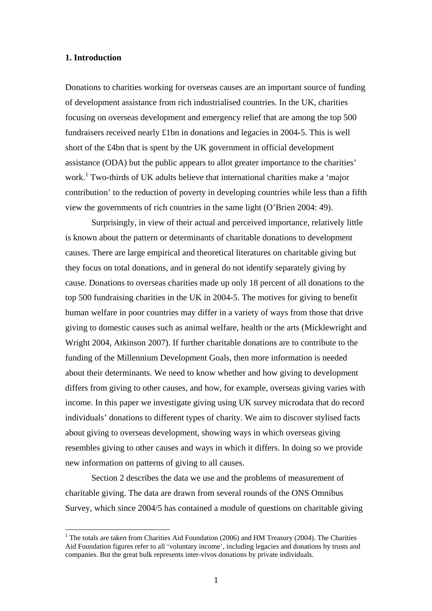#### **1. Introduction**

 $\overline{a}$ 

Donations to charities working for overseas causes are an important source of funding of development assistance from rich industrialised countries. In the UK, charities focusing on overseas development and emergency relief that are among the top 500 fundraisers received nearly £1bn in donations and legacies in 2004-5. This is well short of the £4bn that is spent by the UK government in official development assistance (ODA) but the public appears to allot greater importance to the charities' work.<sup>[1](#page-3-0)</sup> Two-thirds of UK adults believe that international charities make a 'major contribution' to the reduction of poverty in developing countries while less than a fifth view the governments of rich countries in the same light (O'Brien 2004: 49).

Surprisingly, in view of their actual and perceived importance, relatively little is known about the pattern or determinants of charitable donations to development causes. There are large empirical and theoretical literatures on charitable giving but they focus on total donations, and in general do not identify separately giving by cause. Donations to overseas charities made up only 18 percent of all donations to the top 500 fundraising charities in the UK in 2004-5. The motives for giving to benefit human welfare in poor countries may differ in a variety of ways from those that drive giving to domestic causes such as animal welfare, health or the arts (Micklewright and Wright 2004, Atkinson 2007). If further charitable donations are to contribute to the funding of the Millennium Development Goals, then more information is needed about their determinants. We need to know whether and how giving to development differs from giving to other causes, and how, for example, overseas giving varies with income. In this paper we investigate giving using UK survey microdata that do record individuals' donations to different types of charity. We aim to discover stylised facts about giving to overseas development, showing ways in which overseas giving resembles giving to other causes and ways in which it differs. In doing so we provide new information on patterns of giving to all causes.

Section 2 describes the data we use and the problems of measurement of charitable giving. The data are drawn from several rounds of the ONS Omnibus Survey, which since 2004/5 has contained a module of questions on charitable giving

<span id="page-3-0"></span> $1$  The totals are taken from Charities Aid Foundation (2006) and HM Treasury (2004). The Charities Aid Foundation figures refer to all 'voluntary income', including legacies and donations by trusts and companies. But the great bulk represents inter-vivos donations by private individuals.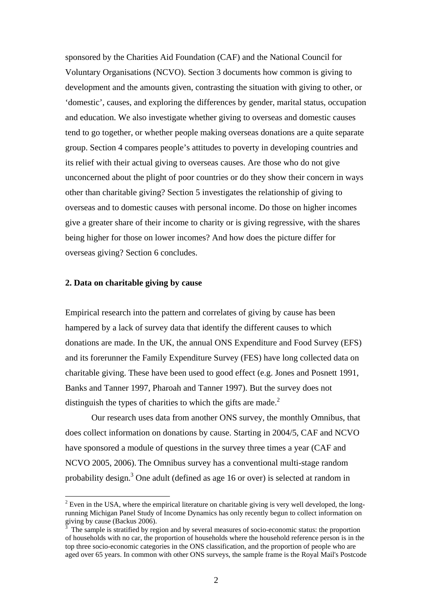sponsored by the Charities Aid Foundation (CAF) and the National Council for Voluntary Organisations (NCVO). Section 3 documents how common is giving to development and the amounts given, contrasting the situation with giving to other, or 'domestic', causes, and exploring the differences by gender, marital status, occupation and education. We also investigate whether giving to overseas and domestic causes tend to go together, or whether people making overseas donations are a quite separate group. Section 4 compares people's attitudes to poverty in developing countries and its relief with their actual giving to overseas causes. Are those who do not give unconcerned about the plight of poor countries or do they show their concern in ways other than charitable giving? Section 5 investigates the relationship of giving to overseas and to domestic causes with personal income. Do those on higher incomes give a greater share of their income to charity or is giving regressive, with the shares being higher for those on lower incomes? And how does the picture differ for overseas giving? Section 6 concludes.

#### **2. Data on charitable giving by cause**

 $\overline{a}$ 

Empirical research into the pattern and correlates of giving by cause has been hampered by a lack of survey data that identify the different causes to which donations are made. In the UK, the annual ONS Expenditure and Food Survey (EFS) and its forerunner the Family Expenditure Survey (FES) have long collected data on charitable giving. These have been used to good effect (e.g. Jones and Posnett 1991, Banks and Tanner 1997, Pharoah and Tanner 1997). But the survey does not distinguish the types of charities to which the gifts are made. $<sup>2</sup>$ </sup>

Our research uses data from another ONS survey, the monthly Omnibus, that does collect information on donations by cause. Starting in 2004/5, CAF and NCVO have sponsored a module of questions in the survey three times a year (CAF and NCVO 2005, 2006). The Omnibus survey has a conventional multi-stage random probability design.<sup>[3](#page-4-1)</sup> One adult (defined as age 16 or over) is selected at random in

<span id="page-4-0"></span> $2^2$  Even in the USA, where the empirical literature on charitable giving is very well developed, the longrunning Michigan Panel Study of Income Dynamics has only recently begun to collect information on giving by cause (Backus 2006).

<span id="page-4-1"></span>The sample is stratified by region and by several measures of socio-economic status: the proportion of households with no car, the proportion of households where the household reference person is in the top three socio-economic categories in the ONS classification, and the proportion of people who are aged over 65 years. In common with other ONS surveys, the sample frame is the Royal Mail's Postcode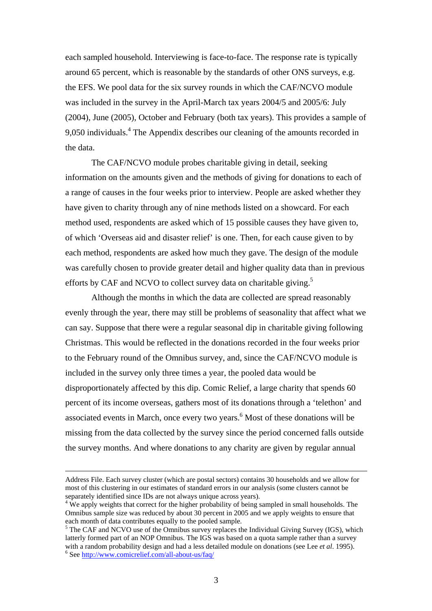each sampled household. Interviewing is face-to-face. The response rate is typically around 65 percent, which is reasonable by the standards of other ONS surveys, e.g. the EFS. We pool data for the six survey rounds in which the CAF/NCVO module was included in the survey in the April-March tax years 2004/5 and 2005/6: July (2004), June (2005), October and February (both tax years). This provides a sample of 9,050 individuals. $4$  The Appendix describes our cleaning of the amounts recorded in the data.

The CAF/NCVO module probes charitable giving in detail, seeking information on the amounts given and the methods of giving for donations to each of a range of causes in the four weeks prior to interview. People are asked whether they have given to charity through any of nine methods listed on a showcard. For each method used, respondents are asked which of 15 possible causes they have given to, of which 'Overseas aid and disaster relief' is one. Then, for each cause given to by each method, respondents are asked how much they gave. The design of the module was carefully chosen to provide greater detail and higher quality data than in previous efforts by CAF and NCVO to collect survey data on charitable giving.<sup>5</sup>

Although the months in which the data are collected are spread reasonably evenly through the year, there may still be problems of seasonality that affect what we can say. Suppose that there were a regular seasonal dip in charitable giving following Christmas. This would be reflected in the donations recorded in the four weeks prior to the February round of the Omnibus survey, and, since the CAF/NCVO module is included in the survey only three times a year, the pooled data would be disproportionately affected by this dip. Comic Relief, a large charity that spends 60 percent of its income overseas, gathers most of its donations through a 'telethon' and associated events in March, once every two years.<sup>[6](#page-5-2)</sup> Most of these donations will be missing from the data collected by the survey since the period concerned falls outside the survey months. And where donations to any charity are given by regular annual

Address File. Each survey cluster (which are postal sectors) contains 30 households and we allow for most of this clustering in our estimates of standard errors in our analysis (some clusters cannot be

<span id="page-5-0"></span>separately identified since IDs are not always unique across years). <sup>4</sup> We apply weights that correct for the higher probability of being sampled in small households. The Omnibus sample size was reduced by about 30 percent in 2005 and we apply weights to ensure that each month of data contributes equally to the pooled sample.<br><sup>5</sup> The CAF and NCVO use of the Omnibus survey replaces the Individual Giving Survey (IGS), which

<span id="page-5-2"></span><span id="page-5-1"></span>latterly formed part of an NOP Omnibus. The IGS was based on a quota sample rather than a survey with a random probability design and had a less detailed module on donations (see Lee *et al.* 1995).  $6$  See <http://www.comicrelief.com/all-about-us/faq/>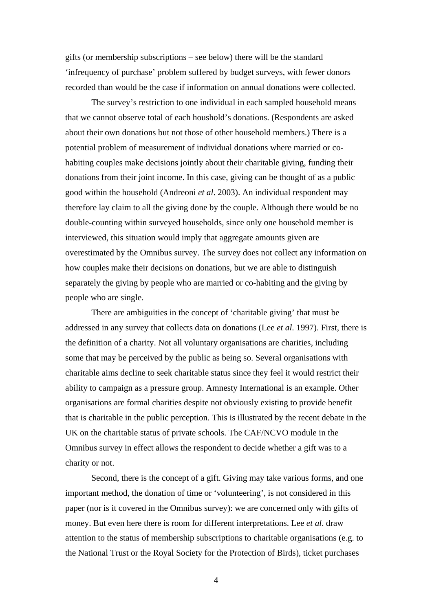gifts (or membership subscriptions – see below) there will be the standard 'infrequency of purchase' problem suffered by budget surveys, with fewer donors recorded than would be the case if information on annual donations were collected.

The survey's restriction to one individual in each sampled household means that we cannot observe total of each houshold's donations. (Respondents are asked about their own donations but not those of other household members.) There is a potential problem of measurement of individual donations where married or cohabiting couples make decisions jointly about their charitable giving, funding their donations from their joint income. In this case, giving can be thought of as a public good within the household (Andreoni *et al*. 2003). An individual respondent may therefore lay claim to all the giving done by the couple. Although there would be no double-counting within surveyed households, since only one household member is interviewed, this situation would imply that aggregate amounts given are overestimated by the Omnibus survey. The survey does not collect any information on how couples make their decisions on donations, but we are able to distinguish separately the giving by people who are married or co-habiting and the giving by people who are single.

There are ambiguities in the concept of 'charitable giving' that must be addressed in any survey that collects data on donations (Lee *et al*. 1997). First, there is the definition of a charity. Not all voluntary organisations are charities, including some that may be perceived by the public as being so. Several organisations with charitable aims decline to seek charitable status since they feel it would restrict their ability to campaign as a pressure group. Amnesty International is an example. Other organisations are formal charities despite not obviously existing to provide benefit that is charitable in the public perception. This is illustrated by the recent debate in the UK on the charitable status of private schools. The CAF/NCVO module in the Omnibus survey in effect allows the respondent to decide whether a gift was to a charity or not.

Second, there is the concept of a gift. Giving may take various forms, and one important method, the donation of time or 'volunteering', is not considered in this paper (nor is it covered in the Omnibus survey): we are concerned only with gifts of money. But even here there is room for different interpretations. Lee *et al*. draw attention to the status of membership subscriptions to charitable organisations (e.g. to the National Trust or the Royal Society for the Protection of Birds), ticket purchases

4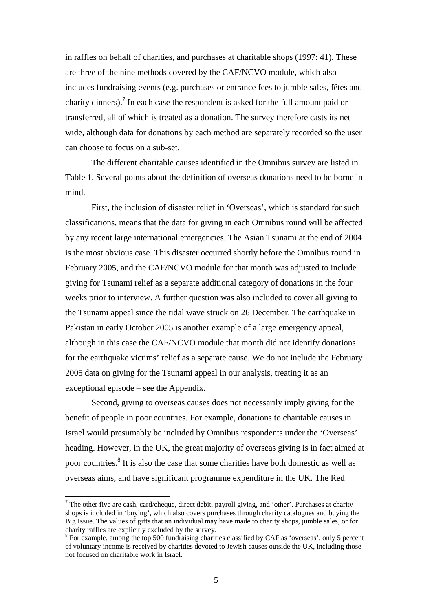in raffles on behalf of charities, and purchases at charitable shops (1997: 41). These are three of the nine methods covered by the CAF/NCVO module, which also includes fundraising events (e.g. purchases or entrance fees to jumble sales, fêtes and charity dinners).<sup>7</sup> In each case the respondent is asked for the full amount paid or transferred, all of which is treated as a donation. The survey therefore casts its net wide, although data for donations by each method are separately recorded so the user can choose to focus on a sub-set.

The different charitable causes identified in the Omnibus survey are listed in Table 1. Several points about the definition of overseas donations need to be borne in mind.

First, the inclusion of disaster relief in 'Overseas', which is standard for such classifications, means that the data for giving in each Omnibus round will be affected by any recent large international emergencies. The Asian Tsunami at the end of 2004 is the most obvious case. This disaster occurred shortly before the Omnibus round in February 2005, and the CAF/NCVO module for that month was adjusted to include giving for Tsunami relief as a separate additional category of donations in the four weeks prior to interview. A further question was also included to cover all giving to the Tsunami appeal since the tidal wave struck on 26 December. The earthquake in Pakistan in early October 2005 is another example of a large emergency appeal, although in this case the CAF/NCVO module that month did not identify donations for the earthquake victims' relief as a separate cause. We do not include the February 2005 data on giving for the Tsunami appeal in our analysis, treating it as an exceptional episode – see the Appendix.

Second, giving to overseas causes does not necessarily imply giving for the benefit of people in poor countries. For example, donations to charitable causes in Israel would presumably be included by Omnibus respondents under the 'Overseas' heading. However, in the UK, the great majority of overseas giving is in fact aimed at poor countries.<sup>[8](#page-7-1)</sup> It is also the case that some charities have both domestic as well as overseas aims, and have significant programme expenditure in the UK. The Red

<span id="page-7-0"></span><sup>&</sup>lt;sup>7</sup> The other five are cash, card/cheque, direct debit, payroll giving, and 'other'. Purchases at charity shops is included in 'buying', which also covers purchases through charity catalogues and buying the Big Issue. The values of gifts that an individual may have made to charity shops, jumble sales, or for charity raffles are explicitly excluded by the survey.

<span id="page-7-1"></span><sup>&</sup>lt;sup>8</sup> For example, among the top 500 fundraising charities classified by CAF as 'overseas', only 5 percent of voluntary income is received by charities devoted to Jewish causes outside the UK, including those not focused on charitable work in Israel.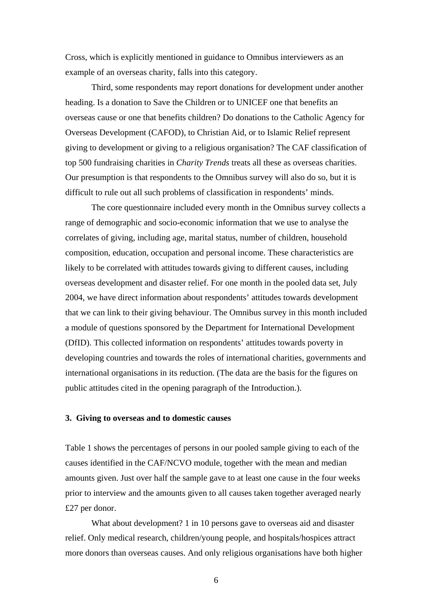Cross, which is explicitly mentioned in guidance to Omnibus interviewers as an example of an overseas charity, falls into this category.

Third, some respondents may report donations for development under another heading. Is a donation to Save the Children or to UNICEF one that benefits an overseas cause or one that benefits children? Do donations to the Catholic Agency for Overseas Development (CAFOD), to Christian Aid, or to Islamic Relief represent giving to development or giving to a religious organisation? The CAF classification of top 500 fundraising charities in *Charity Trends* treats all these as overseas charities. Our presumption is that respondents to the Omnibus survey will also do so, but it is difficult to rule out all such problems of classification in respondents' minds.

The core questionnaire included every month in the Omnibus survey collects a range of demographic and socio-economic information that we use to analyse the correlates of giving, including age, marital status, number of children, household composition, education, occupation and personal income. These characteristics are likely to be correlated with attitudes towards giving to different causes, including overseas development and disaster relief. For one month in the pooled data set, July 2004, we have direct information about respondents' attitudes towards development that we can link to their giving behaviour. The Omnibus survey in this month included a module of questions sponsored by the Department for International Development (DfID). This collected information on respondents' attitudes towards poverty in developing countries and towards the roles of international charities, governments and international organisations in its reduction. (The data are the basis for the figures on public attitudes cited in the opening paragraph of the Introduction.).

#### **3. Giving to overseas and to domestic causes**

Table 1 shows the percentages of persons in our pooled sample giving to each of the causes identified in the CAF/NCVO module, together with the mean and median amounts given. Just over half the sample gave to at least one cause in the four weeks prior to interview and the amounts given to all causes taken together averaged nearly £27 per donor.

What about development? 1 in 10 persons gave to overseas aid and disaster relief. Only medical research, children/young people, and hospitals/hospices attract more donors than overseas causes. And only religious organisations have both higher

 $\sim$  6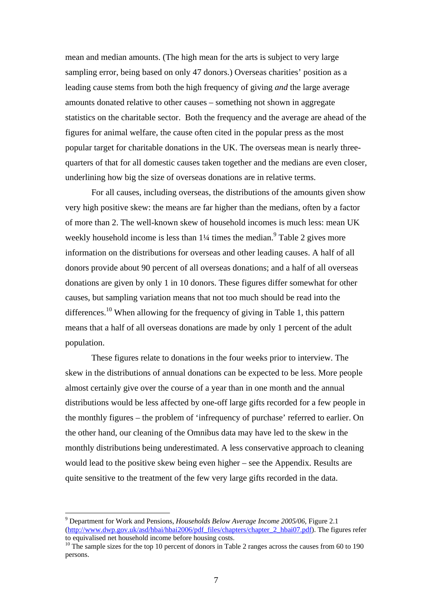mean and median amounts. (The high mean for the arts is subject to very large sampling error, being based on only 47 donors.) Overseas charities' position as a leading cause stems from both the high frequency of giving *and* the large average amounts donated relative to other causes – something not shown in aggregate statistics on the charitable sector. Both the frequency and the average are ahead of the figures for animal welfare, the cause often cited in the popular press as the most popular target for charitable donations in the UK. The overseas mean is nearly threequarters of that for all domestic causes taken together and the medians are even closer, underlining how big the size of overseas donations are in relative terms.

For all causes, including overseas, the distributions of the amounts given show very high positive skew: the means are far higher than the medians, often by a factor of more than 2. The well-known skew of household incomes is much less: mean UK weekly household income is less than  $1\frac{1}{4}$  times the median.<sup>[9](#page-9-0)</sup> Table 2 gives more information on the distributions for overseas and other leading causes. A half of all donors provide about 90 percent of all overseas donations; and a half of all overseas donations are given by only 1 in 10 donors. These figures differ somewhat for other causes, but sampling variation means that not too much should be read into the differences.<sup>10</sup> When allowing for the frequency of giving in Table 1, this pattern means that a half of all overseas donations are made by only 1 percent of the adult population.

These figures relate to donations in the four weeks prior to interview. The skew in the distributions of annual donations can be expected to be less. More people almost certainly give over the course of a year than in one month and the annual distributions would be less affected by one-off large gifts recorded for a few people in the monthly figures – the problem of 'infrequency of purchase' referred to earlier. On the other hand, our cleaning of the Omnibus data may have led to the skew in the monthly distributions being underestimated. A less conservative approach to cleaning would lead to the positive skew being even higher – see the Appendix. Results are quite sensitive to the treatment of the few very large gifts recorded in the data.

<span id="page-9-0"></span><sup>9</sup> Department for Work and Pensions, *Households Below Average Income 2005/06*, Figure 2.1 [\(http://www.dwp.gov.uk/asd/hbai/hbai2006/pdf\\_files/chapters/chapter\\_2\\_hbai07.pdf](http://www.dwp.gov.uk/asd/hbai/hbai2006/pdf_files/chapters/chapter_2_hbai07.pdf)). The figures refer<br>to equivalised net household income before housing costs.

<span id="page-9-1"></span> $10$  The sample sizes for the top 10 percent of donors in Table 2 ranges across the causes from 60 to 190 persons.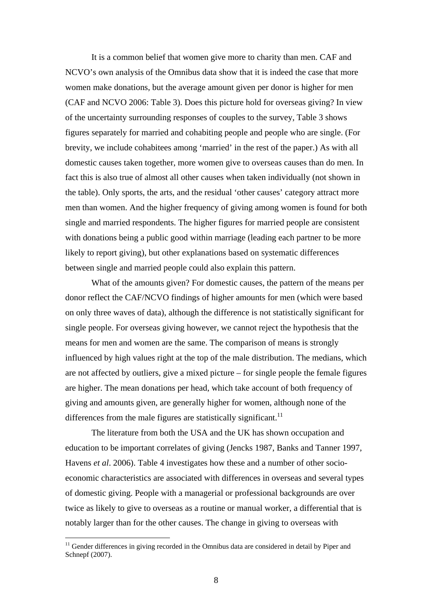It is a common belief that women give more to charity than men. CAF and NCVO's own analysis of the Omnibus data show that it is indeed the case that more women make donations, but the average amount given per donor is higher for men (CAF and NCVO 2006: Table 3). Does this picture hold for overseas giving? In view of the uncertainty surrounding responses of couples to the survey, Table 3 shows figures separately for married and cohabiting people and people who are single. (For brevity, we include cohabitees among 'married' in the rest of the paper.) As with all domestic causes taken together, more women give to overseas causes than do men. In fact this is also true of almost all other causes when taken individually (not shown in the table). Only sports, the arts, and the residual 'other causes' category attract more men than women. And the higher frequency of giving among women is found for both single and married respondents. The higher figures for married people are consistent with donations being a public good within marriage (leading each partner to be more likely to report giving), but other explanations based on systematic differences between single and married people could also explain this pattern.

What of the amounts given? For domestic causes, the pattern of the means per donor reflect the CAF/NCVO findings of higher amounts for men (which were based on only three waves of data), although the difference is not statistically significant for single people. For overseas giving however, we cannot reject the hypothesis that the means for men and women are the same. The comparison of means is strongly influenced by high values right at the top of the male distribution. The medians, which are not affected by outliers, give a mixed picture – for single people the female figures are higher. The mean donations per head, which take account of both frequency of giving and amounts given, are generally higher for women, although none of the differences from the male figures are statistically significant.<sup>[11](#page-10-0)</sup>

The literature from both the USA and the UK has shown occupation and education to be important correlates of giving (Jencks 1987, Banks and Tanner 1997, Havens *et al*. 2006). Table 4 investigates how these and a number of other socioeconomic characteristics are associated with differences in overseas and several types of domestic giving. People with a managerial or professional backgrounds are over twice as likely to give to overseas as a routine or manual worker, a differential that is notably larger than for the other causes. The change in giving to overseas with

<span id="page-10-0"></span><sup>&</sup>lt;sup>11</sup> Gender differences in giving recorded in the Omnibus data are considered in detail by Piper and Schnepf (2007).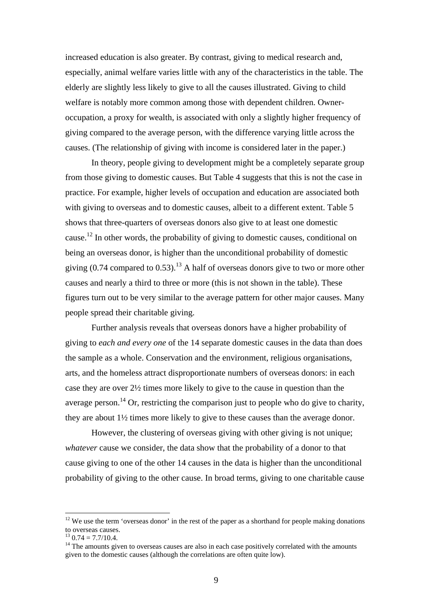increased education is also greater. By contrast, giving to medical research and, especially, animal welfare varies little with any of the characteristics in the table. The elderly are slightly less likely to give to all the causes illustrated. Giving to child welfare is notably more common among those with dependent children. Owneroccupation, a proxy for wealth, is associated with only a slightly higher frequency of giving compared to the average person, with the difference varying little across the causes. (The relationship of giving with income is considered later in the paper.)

In theory, people giving to development might be a completely separate group from those giving to domestic causes. But Table 4 suggests that this is not the case in practice. For example, higher levels of occupation and education are associated both with giving to overseas and to domestic causes, albeit to a different extent. Table 5 shows that three-quarters of overseas donors also give to at least one domestic cause.<sup>12</sup> In other words, the probability of giving to domestic causes, conditional on being an overseas donor, is higher than the unconditional probability of domestic giving  $(0.74$  compared to  $(0.53)$ .<sup>13</sup> A half of overseas donors give to two or more other causes and nearly a third to three or more (this is not shown in the table). These figures turn out to be very similar to the average pattern for other major causes. Many people spread their charitable giving.

Further analysis reveals that overseas donors have a higher probability of giving to *each and every one* of the 14 separate domestic causes in the data than does the sample as a whole. Conservation and the environment, religious organisations, arts, and the homeless attract disproportionate numbers of overseas donors: in each case they are over 2½ times more likely to give to the cause in question than the average person.<sup>14</sup> Or, restricting the comparison just to people who do give to charity, they are about 1½ times more likely to give to these causes than the average donor.

However, the clustering of overseas giving with other giving is not unique; *whatever* cause we consider, the data show that the probability of a donor to that cause giving to one of the other 14 causes in the data is higher than the unconditional probability of giving to the other cause. In broad terms, giving to one charitable cause

<span id="page-11-0"></span> $12$  We use the term 'overseas donor' in the rest of the paper as a shorthand for people making donations to overseas causes.<br><sup>13</sup> 0.74 = 7.7/10.4.<br><sup>14</sup> The amounts given to overseas causes are also in each case positively correlated with the amounts

<span id="page-11-1"></span>

<span id="page-11-2"></span>given to the domestic causes (although the correlations are often quite low).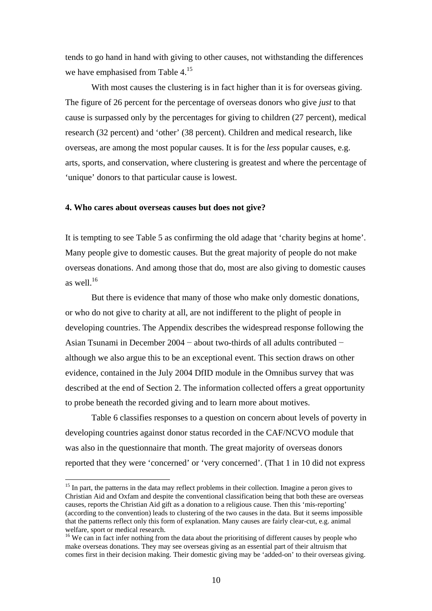tends to go hand in hand with giving to other causes, not withstanding the differences we have emphasised from Table 4.<sup>15</sup>

With most causes the clustering is in fact higher than it is for overseas giving. The figure of 26 percent for the percentage of overseas donors who give *just* to that cause is surpassed only by the percentages for giving to children (27 percent), medical research (32 percent) and 'other' (38 percent). Children and medical research, like overseas, are among the most popular causes. It is for the *less* popular causes, e.g. arts, sports, and conservation, where clustering is greatest and where the percentage of 'unique' donors to that particular cause is lowest.

#### **4. Who cares about overseas causes but does not give?**

 $\overline{a}$ 

It is tempting to see Table 5 as confirming the old adage that 'charity begins at home'. Many people give to domestic causes. But the great majority of people do not make overseas donations. And among those that do, most are also giving to domestic causes as well. $16$ 

But there is evidence that many of those who make only domestic donations, or who do not give to charity at all, are not indifferent to the plight of people in developing countries. The Appendix describes the widespread response following the Asian Tsunami in December 2004 − about two-thirds of all adults contributed − although we also argue this to be an exceptional event. This section draws on other evidence, contained in the July 2004 DfID module in the Omnibus survey that was described at the end of Section 2. The information collected offers a great opportunity to probe beneath the recorded giving and to learn more about motives.

Table 6 classifies responses to a question on concern about levels of poverty in developing countries against donor status recorded in the CAF/NCVO module that was also in the questionnaire that month. The great majority of overseas donors reported that they were 'concerned' or 'very concerned'. (That 1 in 10 did not express

<span id="page-12-0"></span><sup>&</sup>lt;sup>15</sup> In part, the patterns in the data may reflect problems in their collection. Imagine a peron gives to Christian Aid and Oxfam and despite the conventional classification being that both these are overseas causes, reports the Christian Aid gift as a donation to a religious cause. Then this 'mis-reporting' (according to the convention) leads to clustering of the two causes in the data. But it seems impossible that the patterns reflect only this form of explanation. Many causes are fairly clear-cut, e.g. animal welfare, sport or medical research.<br><sup>16</sup> We can in fact infer nothing from the data about the prioritising of different causes by people who

<span id="page-12-1"></span>make overseas donations. They may see overseas giving as an essential part of their altruism that comes first in their decision making. Their domestic giving may be 'added-on' to their overseas giving.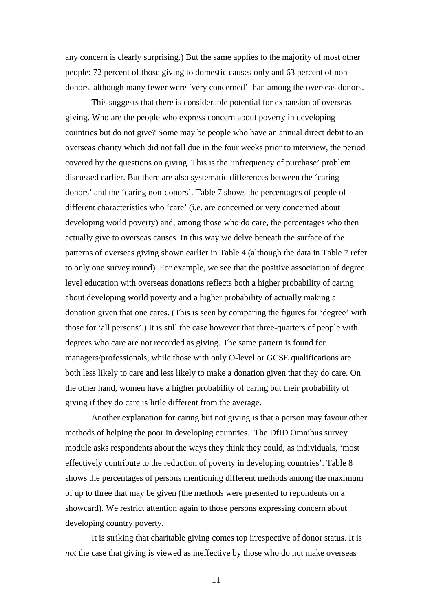any concern is clearly surprising.) But the same applies to the majority of most other people: 72 percent of those giving to domestic causes only and 63 percent of nondonors, although many fewer were 'very concerned' than among the overseas donors.

This suggests that there is considerable potential for expansion of overseas giving. Who are the people who express concern about poverty in developing countries but do not give? Some may be people who have an annual direct debit to an overseas charity which did not fall due in the four weeks prior to interview, the period covered by the questions on giving. This is the 'infrequency of purchase' problem discussed earlier. But there are also systematic differences between the 'caring donors' and the 'caring non-donors'. Table 7 shows the percentages of people of different characteristics who 'care' (i.e. are concerned or very concerned about developing world poverty) and, among those who do care, the percentages who then actually give to overseas causes. In this way we delve beneath the surface of the patterns of overseas giving shown earlier in Table 4 (although the data in Table 7 refer to only one survey round). For example, we see that the positive association of degree level education with overseas donations reflects both a higher probability of caring about developing world poverty and a higher probability of actually making a donation given that one cares. (This is seen by comparing the figures for 'degree' with those for 'all persons'.) It is still the case however that three-quarters of people with degrees who care are not recorded as giving. The same pattern is found for managers/professionals, while those with only O-level or GCSE qualifications are both less likely to care and less likely to make a donation given that they do care. On the other hand, women have a higher probability of caring but their probability of giving if they do care is little different from the average.

Another explanation for caring but not giving is that a person may favour other methods of helping the poor in developing countries. The DfID Omnibus survey module asks respondents about the ways they think they could, as individuals, 'most effectively contribute to the reduction of poverty in developing countries'. Table 8 shows the percentages of persons mentioning different methods among the maximum of up to three that may be given (the methods were presented to repondents on a showcard). We restrict attention again to those persons expressing concern about developing country poverty.

It is striking that charitable giving comes top irrespective of donor status. It is *not* the case that giving is viewed as ineffective by those who do not make overseas

11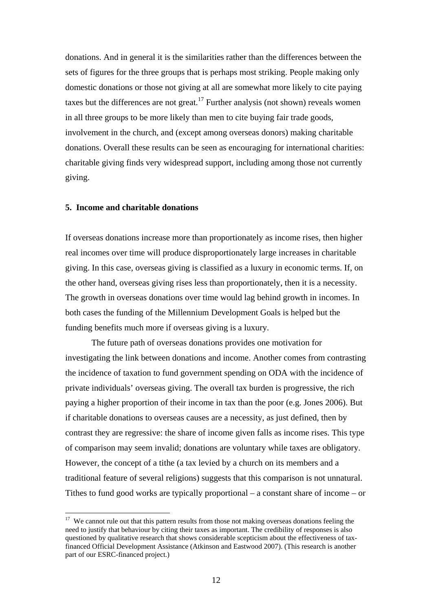donations. And in general it is the similarities rather than the differences between the sets of figures for the three groups that is perhaps most striking. People making only domestic donations or those not giving at all are somewhat more likely to cite paying taxes but the differences are not great.<sup>17</sup> Further analysis (not shown) reveals women in all three groups to be more likely than men to cite buying fair trade goods, involvement in the church, and (except among overseas donors) making charitable donations. Overall these results can be seen as encouraging for international charities: charitable giving finds very widespread support, including among those not currently giving.

#### **5. Income and charitable donations**

 $\overline{a}$ 

If overseas donations increase more than proportionately as income rises, then higher real incomes over time will produce disproportionately large increases in charitable giving. In this case, overseas giving is classified as a luxury in economic terms. If, on the other hand, overseas giving rises less than proportionately, then it is a necessity. The growth in overseas donations over time would lag behind growth in incomes. In both cases the funding of the Millennium Development Goals is helped but the funding benefits much more if overseas giving is a luxury.

The future path of overseas donations provides one motivation for investigating the link between donations and income. Another comes from contrasting the incidence of taxation to fund government spending on ODA with the incidence of private individuals' overseas giving. The overall tax burden is progressive, the rich paying a higher proportion of their income in tax than the poor (e.g. Jones 2006). But if charitable donations to overseas causes are a necessity, as just defined, then by contrast they are regressive: the share of income given falls as income rises. This type of comparison may seem invalid; donations are voluntary while taxes are obligatory. However, the concept of a tithe (a tax levied by a church on its members and a traditional feature of several religions) suggests that this comparison is not unnatural. Tithes to fund good works are typically proportional – a constant share of income – or

<span id="page-14-0"></span><sup>&</sup>lt;sup>17</sup> We cannot rule out that this pattern results from those not making overseas donations feeling the need to justify that behaviour by citing their taxes as important. The credibility of responses is also questioned by qualitative research that shows considerable scepticism about the effectiveness of taxfinanced Official Development Assistance (Atkinson and Eastwood 2007). (This research is another part of our ESRC-financed project.)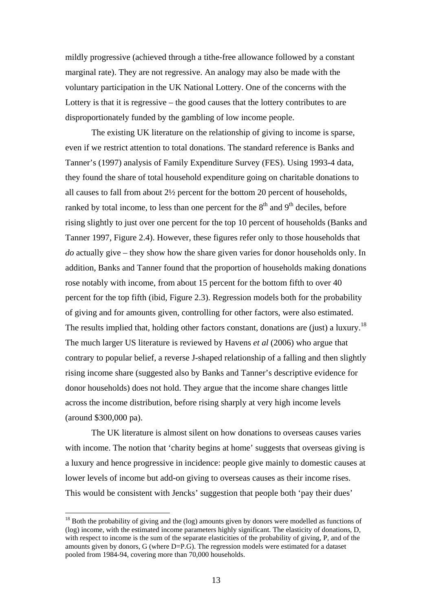mildly progressive (achieved through a tithe-free allowance followed by a constant marginal rate). They are not regressive. An analogy may also be made with the voluntary participation in the UK National Lottery. One of the concerns with the Lottery is that it is regressive – the good causes that the lottery contributes to are disproportionately funded by the gambling of low income people.

The existing UK literature on the relationship of giving to income is sparse, even if we restrict attention to total donations. The standard reference is Banks and Tanner's (1997) analysis of Family Expenditure Survey (FES). Using 1993-4 data, they found the share of total household expenditure going on charitable donations to all causes to fall from about 2½ percent for the bottom 20 percent of households, ranked by total income, to less than one percent for the  $8<sup>th</sup>$  and  $9<sup>th</sup>$  deciles, before rising slightly to just over one percent for the top 10 percent of households (Banks and Tanner 1997, Figure 2.4). However, these figures refer only to those households that *do* actually give – they show how the share given varies for donor households only. In addition, Banks and Tanner found that the proportion of households making donations rose notably with income, from about 15 percent for the bottom fifth to over 40 percent for the top fifth (ibid, Figure 2.3). Regression models both for the probability of giving and for amounts given, controlling for other factors, were also estimated. The results implied that, holding other factors constant, donations are (just) a luxury.<sup>[18](#page-15-0)</sup> The much larger US literature is reviewed by Havens *et al* (2006) who argue that contrary to popular belief, a reverse J-shaped relationship of a falling and then slightly rising income share (suggested also by Banks and Tanner's descriptive evidence for donor households) does not hold. They argue that the income share changes little across the income distribution, before rising sharply at very high income levels (around \$300,000 pa).

 The UK literature is almost silent on how donations to overseas causes varies with income. The notion that 'charity begins at home' suggests that overseas giving is a luxury and hence progressive in incidence: people give mainly to domestic causes at lower levels of income but add-on giving to overseas causes as their income rises. This would be consistent with Jencks' suggestion that people both 'pay their dues'

<span id="page-15-0"></span> $18$  Both the probability of giving and the (log) amounts given by donors were modelled as functions of (log) income, with the estimated income parameters highly significant. The elasticity of donations, D, with respect to income is the sum of the separate elasticities of the probability of giving, P, and of the amounts given by donors, G (where D=P.G). The regression models were estimated for a dataset pooled from 1984-94, covering more than 70,000 households.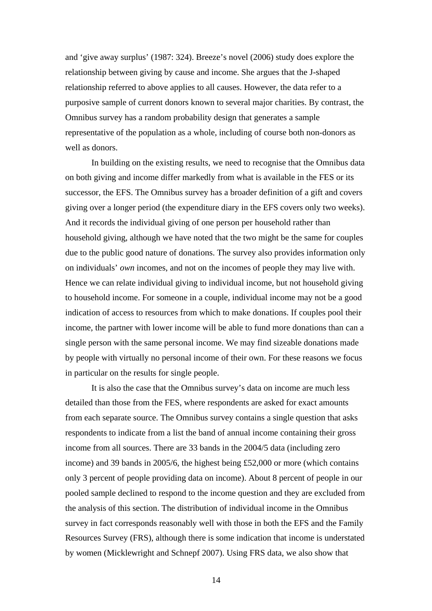and 'give away surplus' (1987: 324). Breeze's novel (2006) study does explore the relationship between giving by cause and income. She argues that the J-shaped relationship referred to above applies to all causes. However, the data refer to a purposive sample of current donors known to several major charities. By contrast, the Omnibus survey has a random probability design that generates a sample representative of the population as a whole, including of course both non-donors as well as donors.

In building on the existing results, we need to recognise that the Omnibus data on both giving and income differ markedly from what is available in the FES or its successor, the EFS. The Omnibus survey has a broader definition of a gift and covers giving over a longer period (the expenditure diary in the EFS covers only two weeks). And it records the individual giving of one person per household rather than household giving, although we have noted that the two might be the same for couples due to the public good nature of donations. The survey also provides information only on individuals' *own* incomes, and not on the incomes of people they may live with. Hence we can relate individual giving to individual income, but not household giving to household income. For someone in a couple, individual income may not be a good indication of access to resources from which to make donations. If couples pool their income, the partner with lower income will be able to fund more donations than can a single person with the same personal income. We may find sizeable donations made by people with virtually no personal income of their own. For these reasons we focus in particular on the results for single people.

It is also the case that the Omnibus survey's data on income are much less detailed than those from the FES, where respondents are asked for exact amounts from each separate source. The Omnibus survey contains a single question that asks respondents to indicate from a list the band of annual income containing their gross income from all sources. There are 33 bands in the 2004/5 data (including zero income) and 39 bands in 2005/6, the highest being £52,000 or more (which contains only 3 percent of people providing data on income). About 8 percent of people in our pooled sample declined to respond to the income question and they are excluded from the analysis of this section. The distribution of individual income in the Omnibus survey in fact corresponds reasonably well with those in both the EFS and the Family Resources Survey (FRS), although there is some indication that income is understated by women (Micklewright and Schnepf 2007). Using FRS data, we also show that

14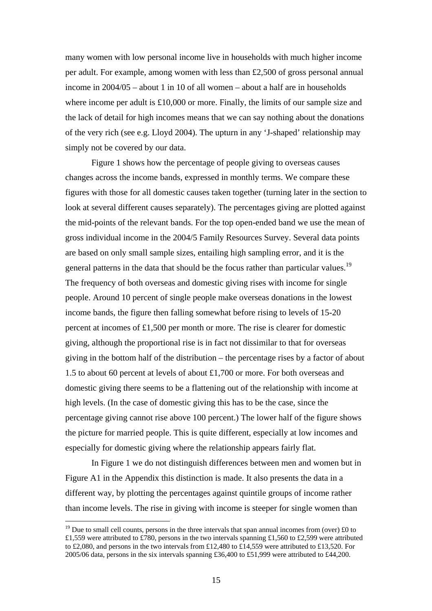many women with low personal income live in households with much higher income per adult. For example, among women with less than £2,500 of gross personal annual income in 2004/05 – about 1 in 10 of all women – about a half are in households where income per adult is £10,000 or more. Finally, the limits of our sample size and the lack of detail for high incomes means that we can say nothing about the donations of the very rich (see e.g. Lloyd 2004). The upturn in any 'J-shaped' relationship may simply not be covered by our data.

Figure 1 shows how the percentage of people giving to overseas causes changes across the income bands, expressed in monthly terms. We compare these figures with those for all domestic causes taken together (turning later in the section to look at several different causes separately). The percentages giving are plotted against the mid-points of the relevant bands. For the top open-ended band we use the mean of gross individual income in the 2004/5 Family Resources Survey. Several data points are based on only small sample sizes, entailing high sampling error, and it is the general patterns in the data that should be the focus rather than particular values.<sup>19</sup> The frequency of both overseas and domestic giving rises with income for single people. Around 10 percent of single people make overseas donations in the lowest income bands, the figure then falling somewhat before rising to levels of 15-20 percent at incomes of £1,500 per month or more. The rise is clearer for domestic giving, although the proportional rise is in fact not dissimilar to that for overseas giving in the bottom half of the distribution – the percentage rises by a factor of about 1.5 to about 60 percent at levels of about £1,700 or more. For both overseas and domestic giving there seems to be a flattening out of the relationship with income at high levels. (In the case of domestic giving this has to be the case, since the percentage giving cannot rise above 100 percent.) The lower half of the figure shows the picture for married people. This is quite different, especially at low incomes and especially for domestic giving where the relationship appears fairly flat.

In Figure 1 we do not distinguish differences between men and women but in Figure A1 in the Appendix this distinction is made. It also presents the data in a different way, by plotting the percentages against quintile groups of income rather than income levels. The rise in giving with income is steeper for single women than

<span id="page-17-0"></span><sup>&</sup>lt;sup>19</sup> Due to small cell counts, persons in the three intervals that span annual incomes from (over)  $\pounds$ 0 to £1,559 were attributed to £780, persons in the two intervals spanning £1,560 to £2,599 were attributed to £2,080, and persons in the two intervals from £12,480 to £14,559 were attributed to £13,520. For 2005/06 data, persons in the six intervals spanning £36,400 to £51,999 were attributed to £44,200.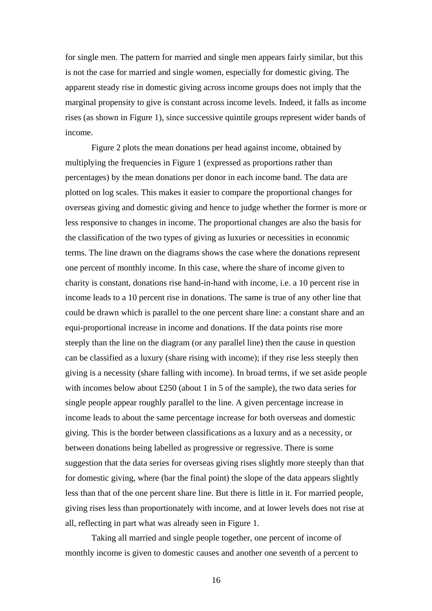for single men. The pattern for married and single men appears fairly similar, but this is not the case for married and single women, especially for domestic giving. The apparent steady rise in domestic giving across income groups does not imply that the marginal propensity to give is constant across income levels. Indeed, it falls as income rises (as shown in Figure 1), since successive quintile groups represent wider bands of income.

Figure 2 plots the mean donations per head against income, obtained by multiplying the frequencies in Figure 1 (expressed as proportions rather than percentages) by the mean donations per donor in each income band. The data are plotted on log scales. This makes it easier to compare the proportional changes for overseas giving and domestic giving and hence to judge whether the former is more or less responsive to changes in income. The proportional changes are also the basis for the classification of the two types of giving as luxuries or necessities in economic terms. The line drawn on the diagrams shows the case where the donations represent one percent of monthly income. In this case, where the share of income given to charity is constant, donations rise hand-in-hand with income, i.e. a 10 percent rise in income leads to a 10 percent rise in donations. The same is true of any other line that could be drawn which is parallel to the one percent share line: a constant share and an equi-proportional increase in income and donations. If the data points rise more steeply than the line on the diagram (or any parallel line) then the cause in question can be classified as a luxury (share rising with income); if they rise less steeply then giving is a necessity (share falling with income). In broad terms, if we set aside people with incomes below about £250 (about 1 in 5 of the sample), the two data series for single people appear roughly parallel to the line. A given percentage increase in income leads to about the same percentage increase for both overseas and domestic giving. This is the border between classifications as a luxury and as a necessity, or between donations being labelled as progressive or regressive. There is some suggestion that the data series for overseas giving rises slightly more steeply than that for domestic giving, where (bar the final point) the slope of the data appears slightly less than that of the one percent share line. But there is little in it. For married people, giving rises less than proportionately with income, and at lower levels does not rise at all, reflecting in part what was already seen in Figure 1.

Taking all married and single people together, one percent of income of monthly income is given to domestic causes and another one seventh of a percent to

16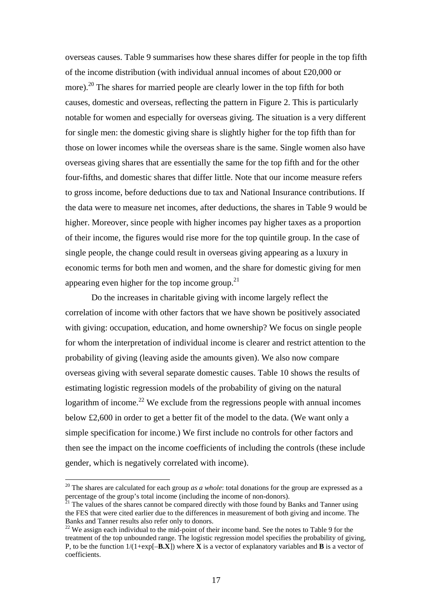overseas causes. Table 9 summarises how these shares differ for people in the top fifth of the income distribution (with individual annual incomes of about £20,000 or more).<sup>20</sup> The shares for married people are clearly lower in the top fifth for both causes, domestic and overseas, reflecting the pattern in Figure 2. This is particularly notable for women and especially for overseas giving. The situation is a very different for single men: the domestic giving share is slightly higher for the top fifth than for those on lower incomes while the overseas share is the same. Single women also have overseas giving shares that are essentially the same for the top fifth and for the other four-fifths, and domestic shares that differ little. Note that our income measure refers to gross income, before deductions due to tax and National Insurance contributions. If the data were to measure net incomes, after deductions, the shares in Table 9 would be higher. Moreover, since people with higher incomes pay higher taxes as a proportion of their income, the figures would rise more for the top quintile group. In the case of single people, the change could result in overseas giving appearing as a luxury in economic terms for both men and women, and the share for domestic giving for men appearing even higher for the top income group.<sup>21</sup>

Do the increases in charitable giving with income largely reflect the correlation of income with other factors that we have shown be positively associated with giving: occupation, education, and home ownership? We focus on single people for whom the interpretation of individual income is clearer and restrict attention to the probability of giving (leaving aside the amounts given). We also now compare overseas giving with several separate domestic causes. Table 10 shows the results of estimating logistic regression models of the probability of giving on the natural logarithm of income.<sup>22</sup> We exclude from the regressions people with annual incomes below £2,600 in order to get a better fit of the model to the data. (We want only a simple specification for income.) We first include no controls for other factors and then see the impact on the income coefficients of including the controls (these include gender, which is negatively correlated with income).

<span id="page-19-0"></span><sup>&</sup>lt;sup>20</sup> The shares are calculated for each group *as a whole*: total donations for the group are expressed as a percentage of the group's total income (including the income of non-donors).<br><sup>21</sup> The values of the shares cannot be compared directly with those found by Banks and Tanner using

<span id="page-19-1"></span>the FES that were cited earlier due to the differences in measurement of both giving and income. The Banks and Tanner results also refer only to donors.<br><sup>22</sup> We assign each individual to the mid-point of their income band. See the notes to Table 9 for the

<span id="page-19-2"></span>treatment of the top unbounded range. The logistic regression model specifies the probability of giving, P, to be the function  $1/(1+\exp[-\mathbf{B}\cdot\mathbf{X})$  where **X** is a vector of explanatory variables and **B** is a vector of coefficients.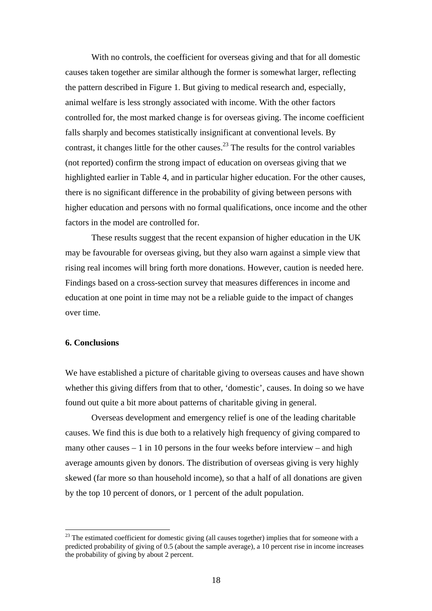With no controls, the coefficient for overseas giving and that for all domestic causes taken together are similar although the former is somewhat larger, reflecting the pattern described in Figure 1. But giving to medical research and, especially, animal welfare is less strongly associated with income. With the other factors controlled for, the most marked change is for overseas giving. The income coefficient falls sharply and becomes statistically insignificant at conventional levels. By contrast, it changes little for the other causes.<sup>23</sup> The results for the control variables (not reported) confirm the strong impact of education on overseas giving that we highlighted earlier in Table 4, and in particular higher education. For the other causes, there is no significant difference in the probability of giving between persons with higher education and persons with no formal qualifications, once income and the other factors in the model are controlled for.

These results suggest that the recent expansion of higher education in the UK may be favourable for overseas giving, but they also warn against a simple view that rising real incomes will bring forth more donations. However, caution is needed here. Findings based on a cross-section survey that measures differences in income and education at one point in time may not be a reliable guide to the impact of changes over time.

#### **6. Conclusions**

 $\overline{a}$ 

We have established a picture of charitable giving to overseas causes and have shown whether this giving differs from that to other, 'domestic', causes. In doing so we have found out quite a bit more about patterns of charitable giving in general.

Overseas development and emergency relief is one of the leading charitable causes. We find this is due both to a relatively high frequency of giving compared to many other causes  $-1$  in 10 persons in the four weeks before interview – and high average amounts given by donors. The distribution of overseas giving is very highly skewed (far more so than household income), so that a half of all donations are given by the top 10 percent of donors, or 1 percent of the adult population.

<span id="page-20-0"></span> $^{23}$  The estimated coefficient for domestic giving (all causes together) implies that for someone with a predicted probability of giving of 0.5 (about the sample average), a 10 percent rise in income increases the probability of giving by about 2 percent.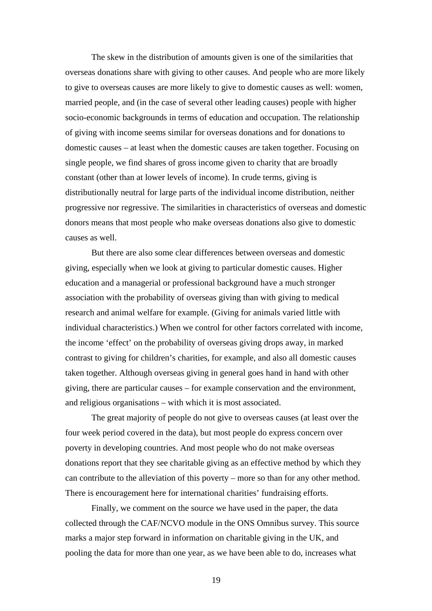The skew in the distribution of amounts given is one of the similarities that overseas donations share with giving to other causes. And people who are more likely to give to overseas causes are more likely to give to domestic causes as well: women, married people, and (in the case of several other leading causes) people with higher socio-economic backgrounds in terms of education and occupation. The relationship of giving with income seems similar for overseas donations and for donations to domestic causes – at least when the domestic causes are taken together. Focusing on single people, we find shares of gross income given to charity that are broadly constant (other than at lower levels of income). In crude terms, giving is distributionally neutral for large parts of the individual income distribution, neither progressive nor regressive. The similarities in characteristics of overseas and domestic donors means that most people who make overseas donations also give to domestic causes as well.

But there are also some clear differences between overseas and domestic giving, especially when we look at giving to particular domestic causes. Higher education and a managerial or professional background have a much stronger association with the probability of overseas giving than with giving to medical research and animal welfare for example. (Giving for animals varied little with individual characteristics.) When we control for other factors correlated with income, the income 'effect' on the probability of overseas giving drops away, in marked contrast to giving for children's charities, for example, and also all domestic causes taken together. Although overseas giving in general goes hand in hand with other giving, there are particular causes – for example conservation and the environment, and religious organisations – with which it is most associated.

The great majority of people do not give to overseas causes (at least over the four week period covered in the data), but most people do express concern over poverty in developing countries. And most people who do not make overseas donations report that they see charitable giving as an effective method by which they can contribute to the alleviation of this poverty – more so than for any other method. There is encouragement here for international charities' fundraising efforts.

Finally, we comment on the source we have used in the paper, the data collected through the CAF/NCVO module in the ONS Omnibus survey. This source marks a major step forward in information on charitable giving in the UK, and pooling the data for more than one year, as we have been able to do, increases what

19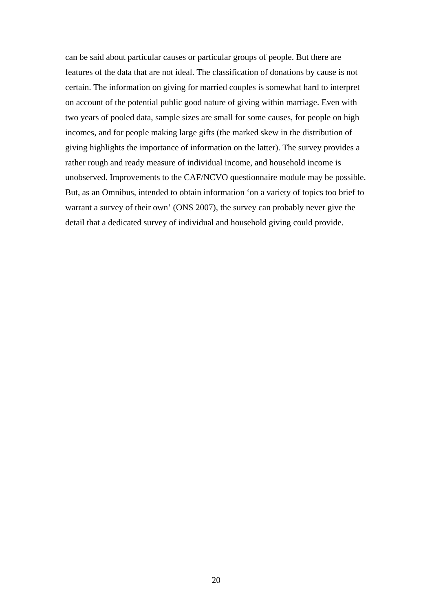can be said about particular causes or particular groups of people. But there are features of the data that are not ideal. The classification of donations by cause is not certain. The information on giving for married couples is somewhat hard to interpret on account of the potential public good nature of giving within marriage. Even with two years of pooled data, sample sizes are small for some causes, for people on high incomes, and for people making large gifts (the marked skew in the distribution of giving highlights the importance of information on the latter). The survey provides a rather rough and ready measure of individual income, and household income is unobserved. Improvements to the CAF/NCVO questionnaire module may be possible. But, as an Omnibus, intended to obtain information 'on a variety of topics too brief to warrant a survey of their own' (ONS 2007), the survey can probably never give the detail that a dedicated survey of individual and household giving could provide.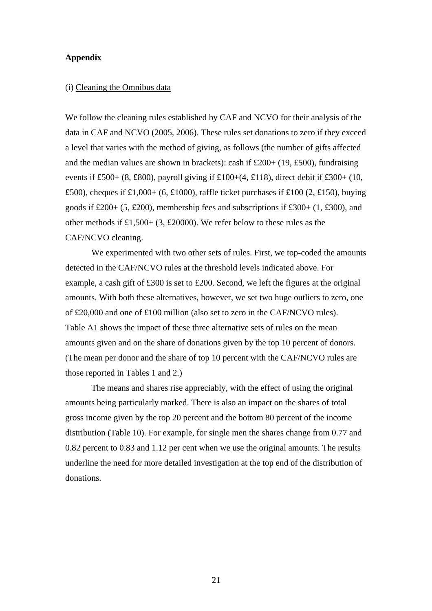#### **Appendix**

#### (i) Cleaning the Omnibus data

We follow the cleaning rules established by CAF and NCVO for their analysis of the data in CAF and NCVO (2005, 2006). These rules set donations to zero if they exceed a level that varies with the method of giving, as follows (the number of gifts affected and the median values are shown in brackets): cash if  $£200+(19, £500)$ , fundraising events if £500+ (8, £800), payroll giving if £100+(4, £118), direct debit if £300+ (10, £500), cheques if £1,000+ (6, £1000), raffle ticket purchases if £100 (2, £150), buying goods if  $\text{\pounds}200+ (5, \text{\pounds}200)$ , membership fees and subscriptions if  $\text{\pounds}300+ (1, \text{\pounds}300)$ , and other methods if £1,500+ (3, £20000). We refer below to these rules as the CAF/NCVO cleaning.

We experimented with two other sets of rules. First, we top-coded the amounts detected in the CAF/NCVO rules at the threshold levels indicated above. For example, a cash gift of £300 is set to £200. Second, we left the figures at the original amounts. With both these alternatives, however, we set two huge outliers to zero, one of £20,000 and one of £100 million (also set to zero in the CAF/NCVO rules). Table A1 shows the impact of these three alternative sets of rules on the mean amounts given and on the share of donations given by the top 10 percent of donors. (The mean per donor and the share of top 10 percent with the CAF/NCVO rules are those reported in Tables 1 and 2.)

The means and shares rise appreciably, with the effect of using the original amounts being particularly marked. There is also an impact on the shares of total gross income given by the top 20 percent and the bottom 80 percent of the income distribution (Table 10). For example, for single men the shares change from 0.77 and 0.82 percent to 0.83 and 1.12 per cent when we use the original amounts. The results underline the need for more detailed investigation at the top end of the distribution of donations.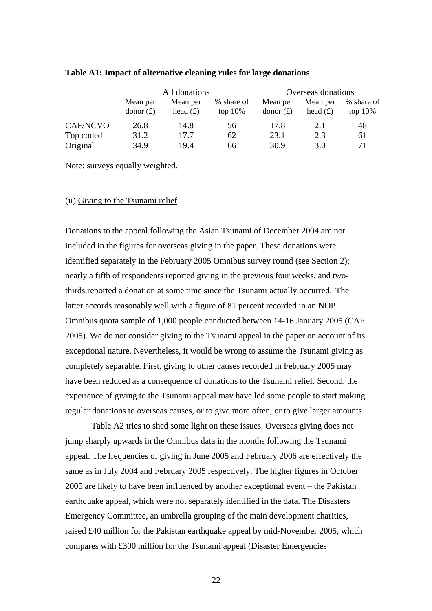|                 | All donations        |            |            | Overseas donations |            |            |
|-----------------|----------------------|------------|------------|--------------------|------------|------------|
|                 | Mean per<br>Mean per |            | % share of | Mean per           | Mean per   | % share of |
|                 | donor $(f)$          | head $(f)$ | top $10\%$ | donor $(f)$        | head $(f)$ | top $10\%$ |
| <b>CAF/NCVO</b> | 26.8                 | 14.8       | 56         | 17.8               | 2.1        | 48         |
| Top coded       | 31.2                 | 17.7       | 62         | 23.1               | 2.3        | 61         |
| Original        | 34.9                 | 19.4       | 66         | 30.9               | 3.0        | 71         |

#### **Table A1: Impact of alternative cleaning rules for large donations**

Note: surveys equally weighted.

#### (ii) Giving to the Tsunami relief

Donations to the appeal following the Asian Tsunami of December 2004 are not included in the figures for overseas giving in the paper. These donations were identified separately in the February 2005 Omnibus survey round (see Section 2); nearly a fifth of respondents reported giving in the previous four weeks, and twothirds reported a donation at some time since the Tsunami actually occurred. The latter accords reasonably well with a figure of 81 percent recorded in an NOP Omnibus quota sample of 1,000 people conducted between 14-16 January 2005 (CAF 2005). We do not consider giving to the Tsunami appeal in the paper on account of its exceptional nature. Nevertheless, it would be wrong to assume the Tsunami giving as completely separable. First, giving to other causes recorded in February 2005 may have been reduced as a consequence of donations to the Tsunami relief. Second, the experience of giving to the Tsunami appeal may have led some people to start making regular donations to overseas causes, or to give more often, or to give larger amounts.

Table A2 tries to shed some light on these issues. Overseas giving does not jump sharply upwards in the Omnibus data in the months following the Tsunami appeal. The frequencies of giving in June 2005 and February 2006 are effectively the same as in July 2004 and February 2005 respectively. The higher figures in October 2005 are likely to have been influenced by another exceptional event – the Pakistan earthquake appeal, which were not separately identified in the data. The Disasters Emergency Committee, an umbrella grouping of the main development charities, raised £40 million for the Pakistan earthquake appeal by mid-November 2005, which compares with £300 million for the Tsunami appeal (Disaster Emergencies

<u>22</u>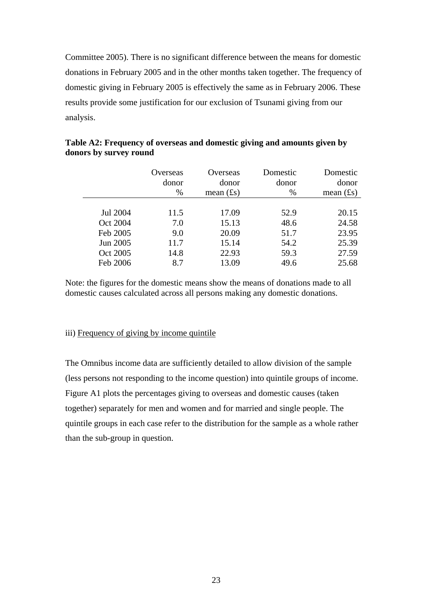Committee 2005). There is no significant difference between the means for domestic donations in February 2005 and in the other months taken together. The frequency of domestic giving in February 2005 is effectively the same as in February 2006. These results provide some justification for our exclusion of Tsunami giving from our analysis.

|          | Overseas<br>donor<br>$\%$ | Overseas<br>donor<br>mean $(f_s)$ | Domestic<br>donor<br>% | Domestic<br>donor<br>mean $(f_s)$ |
|----------|---------------------------|-----------------------------------|------------------------|-----------------------------------|
|          |                           |                                   |                        |                                   |
| Jul 2004 | 11.5                      | 17.09                             | 52.9                   | 20.15                             |
| Oct 2004 | 7.0                       | 15.13                             | 48.6                   | 24.58                             |
| Feb 2005 | 9.0                       | 20.09                             | 51.7                   | 23.95                             |
| Jun 2005 | 11.7                      | 15.14                             | 54.2                   | 25.39                             |
| Oct 2005 | 14.8                      | 22.93                             | 59.3                   | 27.59                             |
| Feb 2006 | 8.7                       | 13.09                             | 49.6                   | 25.68                             |

**Table A2: Frequency of overseas and domestic giving and amounts given by donors by survey round** 

Note: the figures for the domestic means show the means of donations made to all domestic causes calculated across all persons making any domestic donations.

#### iii) Frequency of giving by income quintile

The Omnibus income data are sufficiently detailed to allow division of the sample (less persons not responding to the income question) into quintile groups of income. Figure A1 plots the percentages giving to overseas and domestic causes (taken together) separately for men and women and for married and single people. The quintile groups in each case refer to the distribution for the sample as a whole rather than the sub-group in question.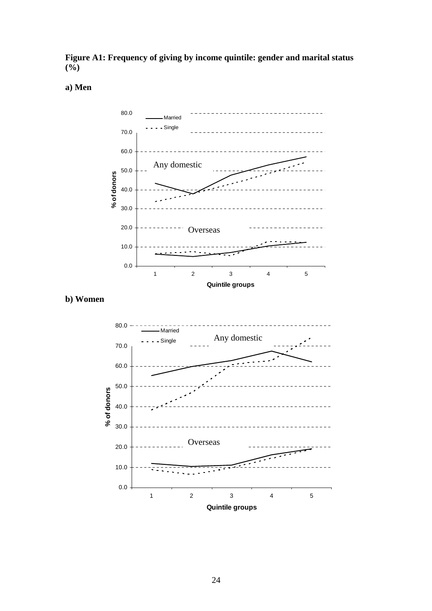**Figure A1: Frequency of giving by income quintile: gender and marital status**   $(\frac{6}{6})$ 

## **a) Men**



**b) Women** 

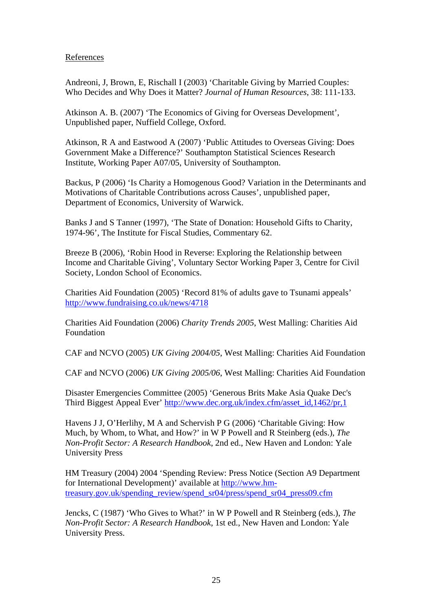#### References

Andreoni, J, Brown, E, Rischall I (2003) 'Charitable Giving by Married Couples: Who Decides and Why Does it Matter? *Journal of Human Resources*, 38: 111-133.

Atkinson A. B. (2007) 'The Economics of Giving for Overseas Development', Unpublished paper, Nuffield College, Oxford.

Atkinson, R A and Eastwood A (2007) 'Public Attitudes to Overseas Giving: Does Government Make a Difference?' Southampton Statistical Sciences Research Institute, Working Paper A07/05, University of Southampton.

Backus, P (2006) 'Is Charity a Homogenous Good? Variation in the Determinants and Motivations of Charitable Contributions across Causes', unpublished paper, Department of Economics, University of Warwick.

Banks J and S Tanner (1997), 'The State of Donation: Household Gifts to Charity, 1974-96', The Institute for Fiscal Studies, Commentary 62.

Breeze B (2006), 'Robin Hood in Reverse: Exploring the Relationship between Income and Charitable Giving', Voluntary Sector Working Paper 3, Centre for Civil Society, London School of Economics.

Charities Aid Foundation (2005) 'Record 81% of adults gave to Tsunami appeals' <http://www.fundraising.co.uk/news/4718>

Charities Aid Foundation (2006) *Charity Trends 2005*, West Malling: Charities Aid Foundation

CAF and NCVO (2005) *UK Giving 2004/05*, West Malling: Charities Aid Foundation

CAF and NCVO (2006) *UK Giving 2005/06*, West Malling: Charities Aid Foundation

Disaster Emergencies Committee (2005) 'Generous Brits Make Asia Quake Dec's Third Biggest Appeal Ever' [http://www.dec.org.uk/index.cfm/asset\\_id,1462/pr,1](http://www.dec.org.uk/index.cfm/asset_id,1462/pr,1)

Havens J J, O'Herlihy, M A and Schervish P G (2006) 'Charitable Giving: How Much, by Whom, to What, and How?' in W P Powell and R Steinberg (eds.), *The Non-Profit Sector: A Research Handbook*, 2nd ed., New Haven and London: Yale University Press

HM Treasury (2004) 2004 'Spending Review: Press Notice (Section A9 Department for International Development)' available at [http://www.hm](http://www.hm-treasury.gov.uk/spending_review/spend_sr04/press/spend_sr04_press09.cfm)[treasury.gov.uk/spending\\_review/spend\\_sr04/press/spend\\_sr04\\_press09.cfm](http://www.hm-treasury.gov.uk/spending_review/spend_sr04/press/spend_sr04_press09.cfm)

Jencks, C (1987) 'Who Gives to What?' in W P Powell and R Steinberg (eds.), *The Non-Profit Sector: A Research Handbook*, 1st ed., New Haven and London: Yale University Press.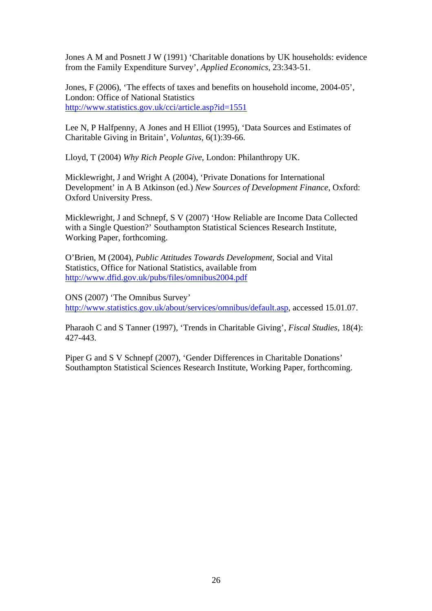Jones A M and Posnett J W (1991) 'Charitable donations by UK households: evidence from the Family Expenditure Survey', *Applied Economics*, 23:343-51.

Jones, F (2006), 'The effects of taxes and benefits on household income, 2004-05', London: Office of National Statistics <http://www.statistics.gov.uk/cci/article.asp?id=1551>

Lee N, P Halfpenny, A Jones and H Elliot (1995), 'Data Sources and Estimates of Charitable Giving in Britain', *Voluntas*, 6(1):39-66.

Lloyd, T (2004) *Why Rich People Give*, London: Philanthropy UK.

Micklewright, J and Wright A (2004), 'Private Donations for International Development' in A B Atkinson (ed.) *New Sources of Development Finance*, Oxford: Oxford University Press.

Micklewright, J and Schnepf, S V (2007) 'How Reliable are Income Data Collected with a Single Question?' Southampton Statistical Sciences Research Institute, Working Paper, forthcoming.

O'Brien, M (2004), *Public Attitudes Towards Development*, Social and Vital Statistics, Office for National Statistics, available from <http://www.dfid.gov.uk/pubs/files/omnibus2004.pdf>

ONS (2007) 'The Omnibus Survey' <http://www.statistics.gov.uk/about/services/omnibus/default.asp>, accessed 15.01.07.

Pharaoh C and S Tanner (1997), 'Trends in Charitable Giving', *Fiscal Studies*, 18(4): 427-443.

Piper G and S V Schnepf (2007), 'Gender Differences in Charitable Donations' Southampton Statistical Sciences Research Institute, Working Paper, forthcoming.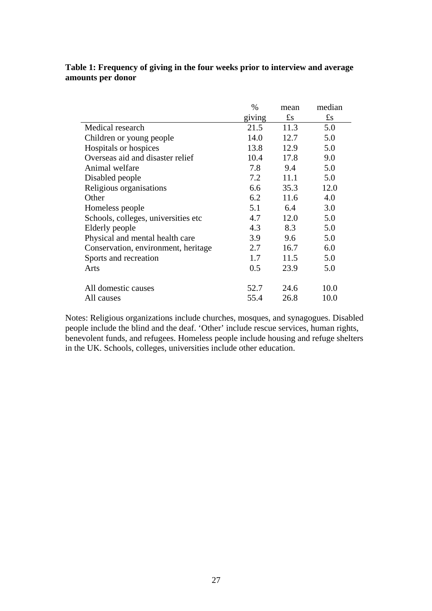#### **Table 1: Frequency of giving in the four weeks prior to interview and average amounts per donor**

|                                      | $\%$   | mean                    | median      |
|--------------------------------------|--------|-------------------------|-------------|
|                                      | giving | $\mathbf{f}_\mathrm{S}$ | $\pounds$ s |
| Medical research                     | 21.5   | 11.3                    | 5.0         |
| Children or young people             | 14.0   | 12.7                    | 5.0         |
| Hospitals or hospices                | 13.8   | 12.9                    | 5.0         |
| Overseas aid and disaster relief     | 10.4   | 17.8                    | 9.0         |
| Animal welfare                       | 7.8    | 9.4                     | 5.0         |
| Disabled people                      | 7.2    | 11.1                    | 5.0         |
| Religious organisations              | 6.6    | 35.3                    | 12.0        |
| Other                                | 6.2    | 11.6                    | 4.0         |
| Homeless people                      | 5.1    | 6.4                     | 3.0         |
| Schools, colleges, universities etc. | 4.7    | 12.0                    | 5.0         |
| Elderly people                       | 4.3    | 8.3                     | 5.0         |
| Physical and mental health care      | 3.9    | 9.6                     | 5.0         |
| Conservation, environment, heritage  | 2.7    | 16.7                    | 6.0         |
| Sports and recreation                | 1.7    | 11.5                    | 5.0         |
| Arts                                 | 0.5    | 23.9                    | 5.0         |
| All domestic causes                  | 52.7   | 24.6                    | 10.0        |
| All causes                           | 55.4   | 26.8                    | 10.0        |

Notes: Religious organizations include churches, mosques, and synagogues. Disabled people include the blind and the deaf. 'Other' include rescue services, human rights, benevolent funds, and refugees. Homeless people include housing and refuge shelters in the UK. Schools, colleges, universities include other education.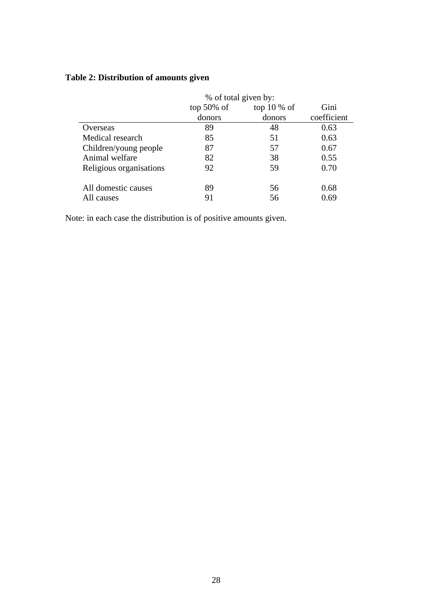|                         | % of total given by: |        |             |  |  |
|-------------------------|----------------------|--------|-------------|--|--|
|                         | top $50\%$ of        | Gini   |             |  |  |
|                         | donors               | donors | coefficient |  |  |
| Overseas                | 89                   | 48     | 0.63        |  |  |
| Medical research        | 85                   | 51     | 0.63        |  |  |
| Children/young people   | 87                   | 57     | 0.67        |  |  |
| Animal welfare          | 82                   | 38     | 0.55        |  |  |
| Religious organisations | 92                   | 59     | 0.70        |  |  |
| All domestic causes     | 89                   | 56     | 0.68        |  |  |
| All causes              |                      | 56     | 0.69        |  |  |

# **Table 2: Distribution of amounts given**

Note: in each case the distribution is of positive amounts given.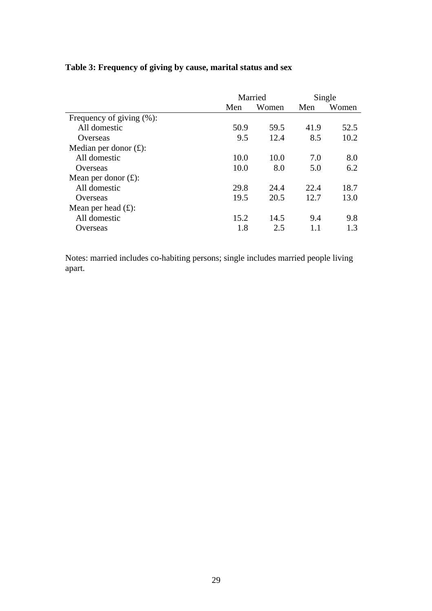|                               | Married |       |      | Single |
|-------------------------------|---------|-------|------|--------|
|                               | Men     | Women | Men  | Women  |
| Frequency of giving $(\% )$ : |         |       |      |        |
| All domestic                  | 50.9    | 59.5  | 41.9 | 52.5   |
| Overseas                      | 9.5     | 12.4  | 8.5  | 10.2   |
| Median per donor $(f)$ :      |         |       |      |        |
| All domestic                  | 10.0    | 10.0  | 7.0  | 8.0    |
| Overseas                      | 10.0    | 8.0   | 5.0  | 6.2    |
| Mean per donor $(f)$ :        |         |       |      |        |
| All domestic                  | 29.8    | 24.4  | 22.4 | 18.7   |
| Overseas                      | 19.5    | 20.5  | 12.7 | 13.0   |
| Mean per head $(f)$ :         |         |       |      |        |
| All domestic                  | 15.2    | 14.5  | 9.4  | 9.8    |
| Overseas                      | 1.8     | 2.5   |      | 1.3    |

# **Table 3: Frequency of giving by cause, marital status and sex**

Notes: married includes co-habiting persons; single includes married people living apart.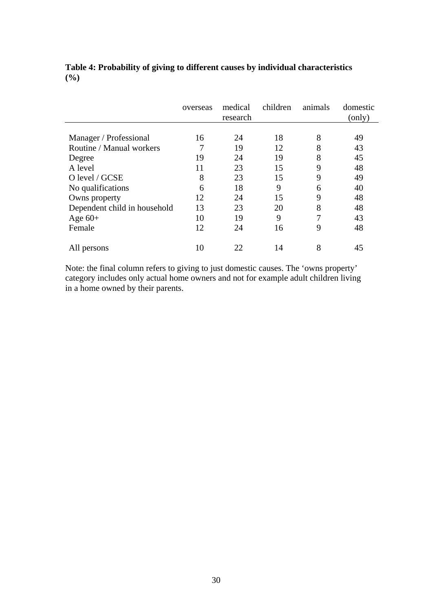|                              | overseas | medical<br>research | children | animals | domestic<br>(only) |
|------------------------------|----------|---------------------|----------|---------|--------------------|
|                              |          |                     |          |         |                    |
| Manager / Professional       | 16       | 24                  | 18       | 8       | 49                 |
| Routine / Manual workers     |          | 19                  | 12       | 8       | 43                 |
| Degree                       | 19       | 24                  | 19       | 8       | 45                 |
| A level                      | 11       | 23                  | 15       | 9       | 48                 |
| O level / GCSE               | 8        | 23                  | 15       | 9       | 49                 |
| No qualifications            | 6        | 18                  | 9        | 6       | 40                 |
| Owns property                | 12       | 24                  | 15       | 9       | 48                 |
| Dependent child in household | 13       | 23                  | 20       | 8       | 48                 |
| Age $60+$                    | 10       | 19                  | 9        | 7       | 43                 |
| Female                       | 12       | 24                  | 16       | 9       | 48                 |
| All persons                  | 10       | 22                  | 14       | 8       | 45                 |

## **Table 4: Probability of giving to different causes by individual characteristics (%)**

Note: the final column refers to giving to just domestic causes. The 'owns property' category includes only actual home owners and not for example adult children living in a home owned by their parents.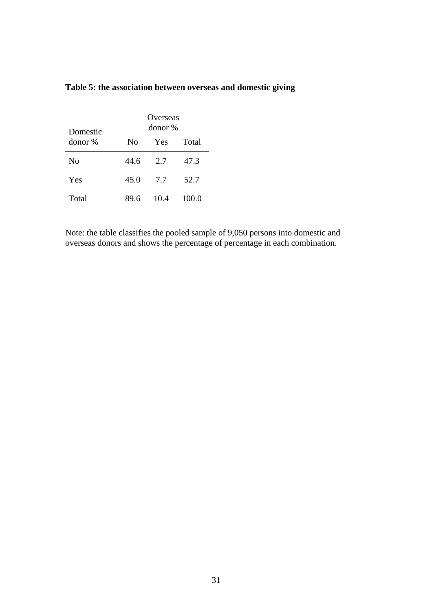| Domestic       |      | Overseas<br>donor % |       |
|----------------|------|---------------------|-------|
| donor %        | No   | Yes                 | Total |
| N <sub>0</sub> | 44.6 | 2.7                 | 47.3  |
| Yes            | 45.0 | 7.7                 | 52.7  |
| Total          | 89.6 | 10.4                | 100.0 |

# **Table 5: the association between overseas and domestic giving**

Note: the table classifies the pooled sample of 9,050 persons into domestic and overseas donors and shows the percentage of percentage in each combination.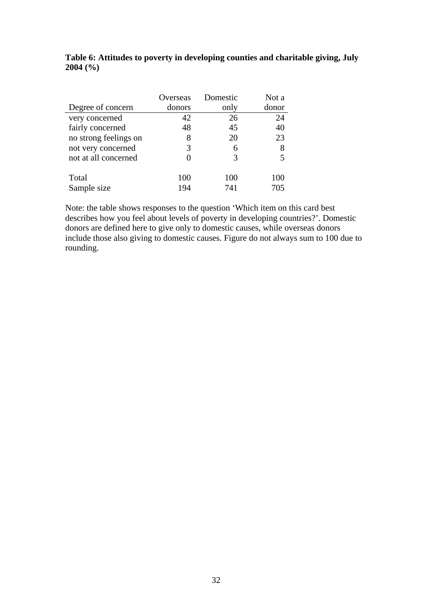#### **Table 6: Attitudes to poverty in developing counties and charitable giving, July 2004 (%)**

|                       | Overseas | Domestic | Not a |
|-----------------------|----------|----------|-------|
| Degree of concern     | donors   | only     | donor |
| very concerned        | 42       | 26       | 24    |
| fairly concerned      | 48       | 45       | 40    |
| no strong feelings on | 8        | 20       | 23    |
| not very concerned    | 3        | 6        | 8     |
| not at all concerned  |          | 3        |       |
|                       |          |          |       |
| Total                 | 100      | 100      | 100   |
| Sample size           | 194      | 741      | 705   |

Note: the table shows responses to the question 'Which item on this card best describes how you feel about levels of poverty in developing countries?'. Domestic donors are defined here to give only to domestic causes, while overseas donors include those also giving to domestic causes. Figure do not always sum to 100 due to rounding.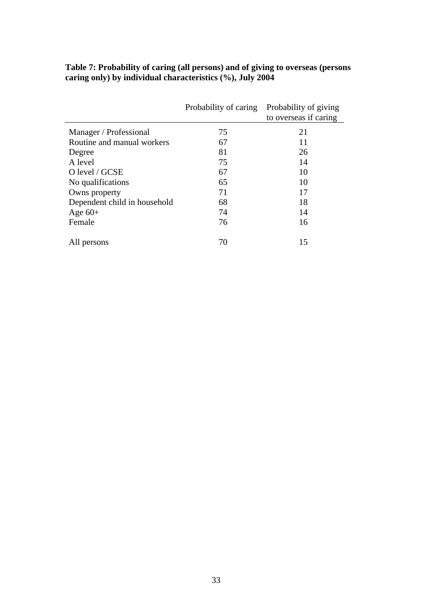| Table 7: Probability of caring (all persons) and of giving to overseas (persons |
|---------------------------------------------------------------------------------|
| caring only) by individual characteristics (%), July 2004                       |

|                              | Probability of caring | Probability of giving<br>to overseas if caring |
|------------------------------|-----------------------|------------------------------------------------|
| Manager / Professional       | 75                    | 21                                             |
| Routine and manual workers   | 67                    | 11                                             |
| Degree                       | 81                    | 26                                             |
| A level                      | 75                    | 14                                             |
| O level / GCSE               | 67                    | 10                                             |
| No qualifications            | 65                    | 10                                             |
| Owns property                | 71                    | 17                                             |
| Dependent child in household | 68                    | 18                                             |
| Age $60+$                    | 74                    | 14                                             |
| Female                       | 76                    | 16                                             |
| All persons                  | 70                    | 15                                             |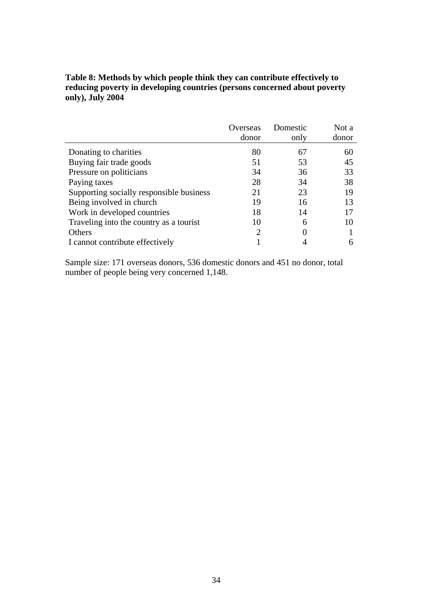## **Table 8: Methods by which people think they can contribute effectively to reducing poverty in developing countries (persons concerned about poverty only), July 2004**

|                                          | Overseas | Domestic | Not a |
|------------------------------------------|----------|----------|-------|
|                                          | donor    | only     | donor |
| Donating to charities                    | 80       | 67       | 60    |
| Buying fair trade goods                  | 51       | 53       | 45    |
| Pressure on politicians                  | 34       | 36       | 33    |
| Paying taxes                             | 28       | 34       | 38    |
| Supporting socially responsible business | 21       | 23       | 19    |
| Being involved in church                 | 19       | 16       | 13    |
| Work in developed countries              | 18       | 14       | 17    |
| Traveling into the country as a tourist  | 10       | 6        | 10    |
| Others                                   | 2        |          |       |
| I cannot contribute effectively          |          |          |       |

Sample size: 171 overseas donors, 536 domestic donors and 451 no donor, total number of people being very concerned 1,148.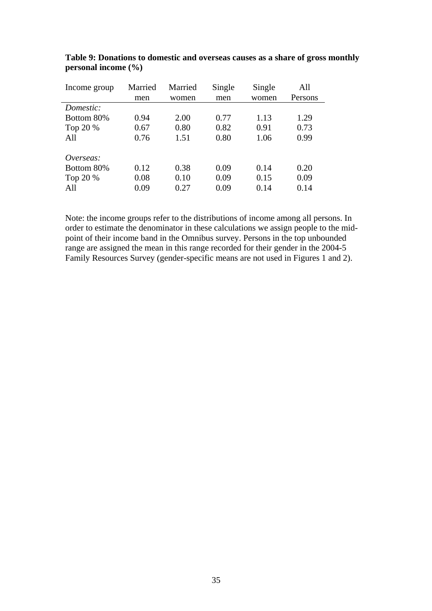| Income group | Married | Married | Single | Single | All     |
|--------------|---------|---------|--------|--------|---------|
|              | men     | women   | men    | women  | Persons |
| Domestic:    |         |         |        |        |         |
| Bottom 80%   | 0.94    | 2.00    | 0.77   | 1.13   | 1.29    |
| Top 20 %     | 0.67    | 0.80    | 0.82   | 0.91   | 0.73    |
| All          | 0.76    | 1.51    | 0.80   | 1.06   | 0.99    |
| Overseas:    |         |         |        |        |         |
| Bottom 80%   | 0.12    | 0.38    | 0.09   | 0.14   | 0.20    |
| Top 20 %     | 0.08    | 0.10    | 0.09   | 0.15   | 0.09    |
| All          | 0.09    | 0.27    | 0.09   | 0.14   | 0.14    |

**Table 9: Donations to domestic and overseas causes as a share of gross monthly personal income (%)** 

Note: the income groups refer to the distributions of income among all persons. In order to estimate the denominator in these calculations we assign people to the midpoint of their income band in the Omnibus survey. Persons in the top unbounded range are assigned the mean in this range recorded for their gender in the 2004-5 Family Resources Survey (gender-specific means are not used in Figures 1 and 2).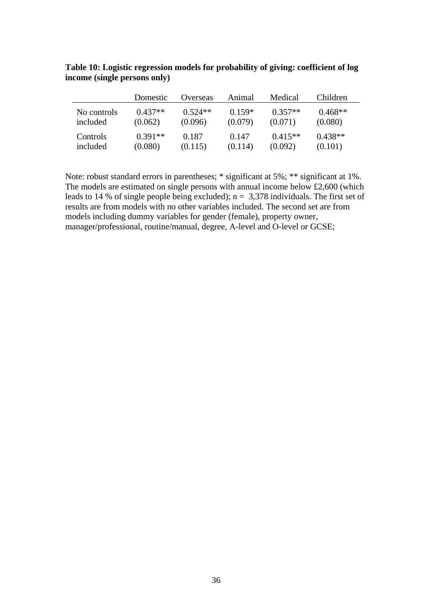|             | Domestic  | Overseas  | Animal   | Medical   | Children  |
|-------------|-----------|-----------|----------|-----------|-----------|
| No controls | $0.437**$ | $0.524**$ | $0.159*$ | $0.357**$ | $0.468**$ |
| included    | (0.062)   | (0.096)   | (0.079)  | (0.071)   | (0.080)   |
| Controls    | $0.391**$ | 0.187     | 0.147    | $0.415**$ | $0.438**$ |
| included    | (0.080)   | (0.115)   | (0.114)  | (0.092)   | (0.101)   |

**Table 10: Logistic regression models for probability of giving: coefficient of log income (single persons only)** 

Note: robust standard errors in parentheses; \* significant at 5%; \*\* significant at 1%. The models are estimated on single persons with annual income below £2,600 (which leads to 14 % of single people being excluded);  $n = 3,378$  individuals. The first set of results are from models with no other variables included. The second set are from models including dummy variables for gender (female), property owner, manager/professional, routine/manual, degree, A-level and O-level or GCSE;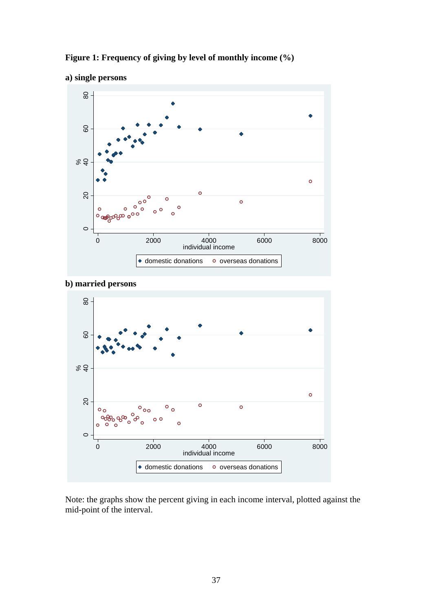

**Figure 1: Frequency of giving by level of monthly income (%)** 





Note: the graphs show the percent giving in each income interval, plotted against the mid-point of the interval.